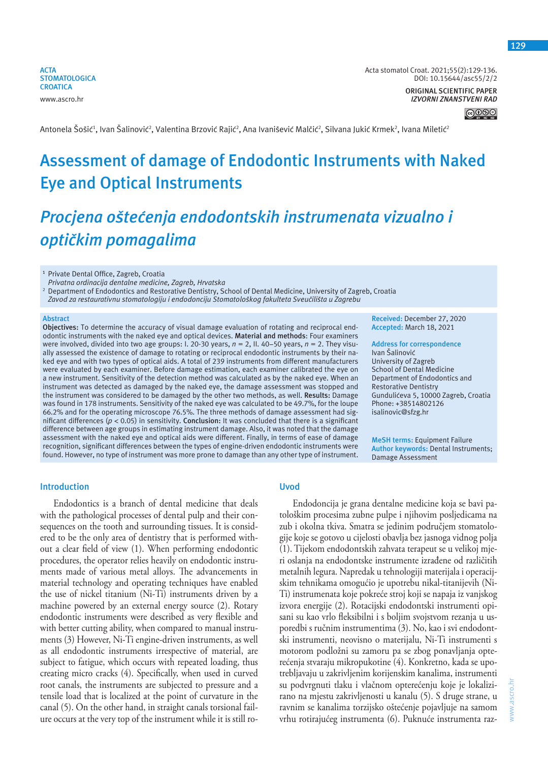**ACTA STOMATOLOGICA CROATICA** www.ascro.hr

Acta stomatol Croat. 2021;55(2):129-136. DOI: 10.15644/asc55/2/2

> **ORIGINAL SCIENTIFIC PAPER** *IZVORNI ZNANSTVENI RAD*

> > $\bigcirc$  000

Antonela Šošić<sup>1</sup>, Ivan Šalinović<sup>2</sup>, Valentina Brzović Rajić<sup>2</sup>, Ana Ivanišević Malčić<sup>2</sup>, Silvana Jukić Krmek<sup>2</sup>, Ivana Miletić<sup>3</sup>

# **Assessment of damage of Endodontic Instruments with Naked Eye and Optical Instruments**

# *Procjena oštećenja endodontskih instrumenata vizualno i optičkim pomagalima*

**<sup>1</sup>** Private Dental Office, Zagreb, Croatia

*Privatna ordinacija dentalne medicine, Zagreb, Hrvatska*

2 Department of Endodontics and Restorative Dentistry, School of Dental Medicine, University of Zagreb, Croatia *Zavod za restaurativnu stomatologiju i endodonciju Stomatološkog fakulteta Sveučilišta u Zagrebu*

#### **Abstract**

**Objectives:** To determine the accuracy of visual damage evaluation of rotating and reciprocal endodontic instruments with the naked eye and optical devices. **Material and methods**: Four examiners were involved, divided into two age groups: I. 20-30 years, *n* = 2, II. 40-50 years, *n* = 2. They visually assessed the existence of damage to rotating or reciprocal endodontic instruments by their naked eye and with two types of optical aids. A total of 239 instruments from different manufacturers were evaluated by each examiner. Before damage estimation, each examiner calibrated the eye on a new instrument. Sensitivity of the detection method was calculated as by the naked eye. When an instrument was detected as damaged by the naked eye, the damage assessment was stopped and the instrument was considered to be damaged by the other two methods, as well. **Results:** Damage was found in 178 instruments. Sensitivity of the naked eye was calculated to be 49.7%, for the loupe 66.2% and for the operating microscope 76.5%. The three methods of damage assessment had significant differences (*p* < 0.05) in sensitivity. **Conclusion:** It was concluded that there is a significant difference between age groups in estimating instrument damage. Also, it was noted that the damage assessment with the naked eye and optical aids were different. Finally, in terms of ease of damage recognition, significant differences between the types of engine-driven endodontic instruments were found. However, no type of instrument was more prone to damage than any other type of instrument. **Received:** December 27, 2020 **Accepted:** March 18, 2021

**Address for correspondence** Ivan Šalinović University of Zagreb School of Dental Medicine Department of Endodontics and Restorative Dentistry Gundulićeva 5, 10000 Zagreb, Croatia Phone: +38514802126 isalinovic@sfzg.hr

**MeSH terms:** Equipment Failure **Author keywords:** Dental Instruments; Damage Assessment

www.ascro.hr

www.ascro.hr

#### **Introduction**

Endodontics is a branch of dental medicine that deals with the pathological processes of dental pulp and their consequences on the tooth and surrounding tissues. It is considered to be the only area of dentistry that is performed without a clear field of view (1). When performing endodontic procedures, the operator relies heavily on endodontic instruments made of various metal alloys. The advancements in material technology and operating techniques have enabled the use of nickel titanium (Ni-Ti) instruments driven by a machine powered by an external energy source (2). Rotary endodontic instruments were described as very flexible and with better cutting ability, when compared to manual instruments (3) However, Ni-Ti engine-driven instruments, as well as all endodontic instruments irrespective of material, are subject to fatigue, which occurs with repeated loading, thus creating micro cracks (4). Specifically, when used in curved root canals, the instruments are subjected to pressure and a tensile load that is localized at the point of curvature in the canal (5). On the other hand, in straight canals torsional failure occurs at the very top of the instrument while it is still ro-

## **Uvod**

Endodoncija je grana dentalne medicine koja se bavi patološkim procesima zubne pulpe i njihovim posljedicama na zub i okolna tkiva. Smatra se jedinim područjem stomatologije koje se gotovo u cijelosti obavlja bez jasnoga vidnog polja (1). Tijekom endodontskih zahvata terapeut se u velikoj mjeri oslanja na endodontske instrumente izrađene od različitih metalnih legura. Napredak u tehnologiji materijala i operacijskim tehnikama omogućio je upotrebu nikal-titanijevih (Ni-Ti) instrumenata koje pokreće stroj koji se napaja iz vanjskog izvora energije (2). Rotacijski endodontski instrumenti opisani su kao vrlo fleksibilni i s boljim svojstvom rezanja u usporedbi s ručnim instrumentima (3). No, kao i svi endodontski instrumenti, neovisno o materijalu, Ni-Ti instrumenti s motorom podložni su zamoru pa se zbog ponavljanja opterećenja stvaraju mikropukotine (4). Konkretno, kada se upotrebljavaju u zakrivljenim korijenskim kanalima, instrumenti su podvrgnuti tlaku i vlačnom opterećenju koje je lokalizirano na mjestu zakrivljenosti u kanalu (5). S druge strane, u ravnim se kanalima torzijsko oštećenje pojavljuje na samom vrhu rotirajućeg instrumenta (6). Puknuće instrumenta raz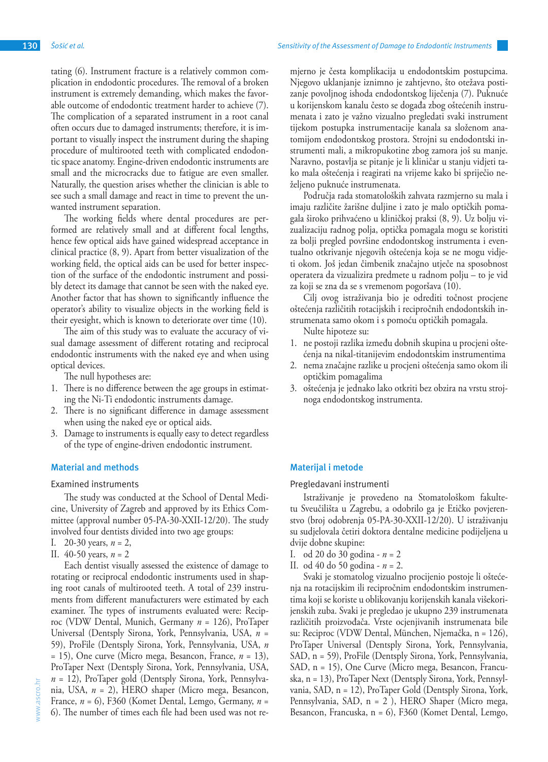tating (6). Instrument fracture is a relatively common complication in endodontic procedures. The removal of a broken instrument is extremely demanding, which makes the favorable outcome of endodontic treatment harder to achieve (7). The complication of a separated instrument in a root canal often occurs due to damaged instruments; therefore, it is important to visually inspect the instrument during the shaping procedure of multirooted teeth with complicated endodontic space anatomy. Engine-driven endodontic instruments are small and the microcracks due to fatigue are even smaller. Naturally, the question arises whether the clinician is able to see such a small damage and react in time to prevent the unwanted instrument separation.

The working fields where dental procedures are performed are relatively small and at different focal lengths, hence few optical aids have gained widespread acceptance in clinical practice (8, 9). Apart from better visualization of the working field, the optical aids can be used for better inspection of the surface of the endodontic instrument and possibly detect its damage that cannot be seen with the naked eye. Another factor that has shown to significantly influence the operator's ability to visualize objects in the working field is their eyesight, which is known to deteriorate over time (10).

The aim of this study was to evaluate the accuracy of visual damage assessment of different rotating and reciprocal endodontic instruments with the naked eye and when using optical devices.

The null hypotheses are:

- 1. There is no difference between the age groups in estimating the Ni-Ti endodontic instruments damage.
- 2. There is no significant difference in damage assessment when using the naked eye or optical aids.
- 3. Damage to instruments is equally easy to detect regardless of the type of engine-driven endodontic instrument.

## **Material and methods**

Examined instruments

The study was conducted at the School of Dental Medicine, University of Zagreb and approved by its Ethics Committee (approval number 05-PA-30-XXII-12/20). The study involved four dentists divided into two age groups:

- I. 20-30 years, *n* = 2,
- II. 40-50 years, *n* = 2

Each dentist visually assessed the existence of damage to rotating or reciprocal endodontic instruments used in shaping root canals of multirooted teeth. A total of 239 instruments from different manufacturers were estimated by each examiner. The types of instruments evaluated were: Reciproc (VDW Dental, Munich, Germany *n* = 126), ProTaper Universal (Dentsply Sirona, York, Pennsylvania, USA, *n* = 59), ProFile (Dentsply Sirona, York, Pennsylvania, USA, *n* = 15), One curve (Micro mega, Besancon, France, *n* = 13), ProTaper Next (Dentsply Sirona, York, Pennsylvania, USA, *n* = 12), ProTaper gold (Dentsply Sirona, York, Pennsylvania, USA, *n* = 2), HERO shaper (Micro mega, Besancon, France, *n* = 6), F360 (Komet Dental, Lemgo, Germany, *n* = 6). The number of times each file had been used was not remjerno je česta komplikacija u endodontskim postupcima. Njegovo uklanjanje iznimno je zahtjevno, što otežava postizanje povoljnog ishoda endodontskog liječenja (7). Puknuće u korijenskom kanalu često se događa zbog oštećenih instrumenata i zato je važno vizualno pregledati svaki instrument tijekom postupka instrumentacije kanala sa složenom anatomijom endodontskog prostora. Strojni su endodontski instrumenti mali, a mikropukotine zbog zamora još su manje. Naravno, postavlja se pitanje je li kliničar u stanju vidjeti tako mala oštećenja i reagirati na vrijeme kako bi spriječio neželjeno puknuće instrumenata.

Područja rada stomatoloških zahvata razmjerno su mala i imaju različite žarišne duljine i zato je malo optičkih pomagala široko prihvaćeno u kliničkoj praksi (8, 9). Uz bolju vizualizaciju radnog polja, optička pomagala mogu se koristiti za bolji pregled površine endodontskog instrumenta i eventualno otkrivanje njegovih oštećenja koja se ne mogu vidjeti okom. Još jedan čimbenik značajno utječe na sposobnost operatera da vizualizira predmete u radnom polju – to je vid za koji se zna da se s vremenom pogoršava (10).

Cilj ovog istraživanja bio je odrediti točnost procjene oštećenja različitih rotacijskih i recipročnih endodontskih instrumenata samo okom i s pomoću optičkih pomagala.

Nulte hipoteze su:

- 1. ne postoji razlika između dobnih skupina u procjeni oštećenja na nikal-titanijevim endodontskim instrumentima
- 2. nema značajne razlike u procjeni oštećenja samo okom ili optičkim pomagalima
- 3. oštećenja je jednako lako otkriti bez obzira na vrstu strojnoga endodontskog instrumenta.

#### **Materijal i metode**

Pregledavani instrumenti

Istraživanje je provedeno na Stomatološkom fakultetu Sveučilišta u Zagrebu, a odobrilo ga je Etičko povjerenstvo (broj odobrenja 05-PA-30-XXII-12/20). U istraživanju su sudjelovala četiri doktora dentalne medicine podijeljena u dvije dobne skupine:

- I. od 20 do 30 godina *n* = 2
- II. od 40 do 50 godina *n* = 2.

Svaki je stomatolog vizualno procijenio postoje li oštećenja na rotacijskim ili recipročnim endodontskim instrumentima koji se koriste u oblikovanju korijenskih kanala višekorijenskih zuba. Svaki je pregledao je ukupno 239 instrumenata različitih proizvođača. Vrste ocjenjivanih instrumenata bile su: Reciproc (VDW Dental, München, Njemačka, n = 126), ProTaper Universal (Dentsply Sirona, York, Pennsylvania, SAD, n = 59), ProFile (Dentsply Sirona, York, Pennsylvania, SAD, n = 15), One Curve (Micro mega, Besancon, Francuska, n = 13), ProTaper Next (Dentsply Sirona, York, Pennsylvania, SAD, n = 12), ProTaper Gold (Dentsply Sirona, York, Pennsylvania, SAD, n = 2 ), HERO Shaper (Micro mega, Besancon, Francuska, n = 6), F360 (Komet Dental, Lemgo,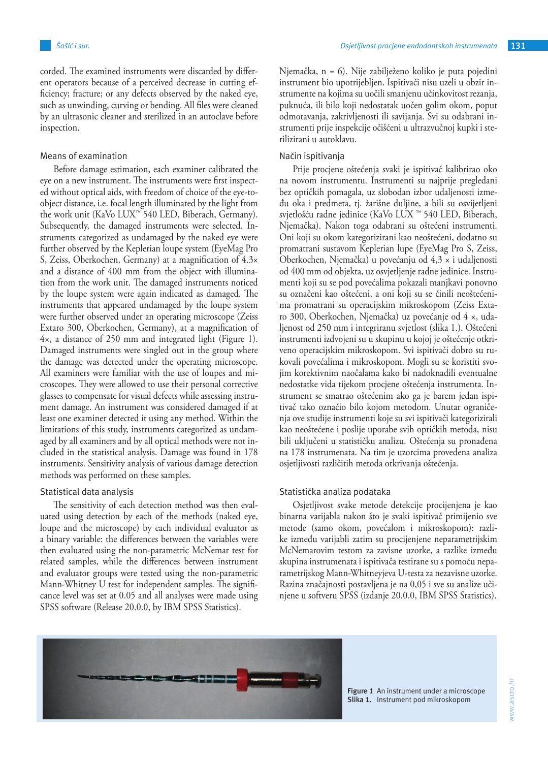corded. The examined instruments were discarded by different operators because of a perceived decrease in cutting efficiency; fracture; or any defects observed by the naked eye, such as unwinding, curving or bending. All files were cleaned by an ultrasonic cleaner and sterilized in an autoclave before inspection.

## Means of examination

Before damage estimation, each examiner calibrated the eye on a new instrument. The instruments were first inspected without optical aids, with freedom of choice of the eye-toobject distance, i.e. focal length illuminated by the light from the work unit (KaVo LUX™ 540 LED, Biberach, Germany). Subsequently, the damaged instruments were selected. Instruments categorized as undamaged by the naked eye were further observed by the Keplerian loupe system (EyeMag Pro S, Zeiss, Oberkochen, Germany) at a magnification of 4.3× and a distance of 400 mm from the object with illumination from the work unit. The damaged instruments noticed by the loupe system were again indicated as damaged. The instruments that appeared undamaged by the loupe system were further observed under an operating microscope (Zeiss Extaro 300, Oberkochen, Germany), at a magnification of 4×, a distance of 250 mm and integrated light (Figure 1). Damaged instruments were singled out in the group where the damage was detected under the operating microscope. All examiners were familiar with the use of loupes and microscopes. They were allowed to use their personal corrective glasses to compensate for visual defects while assessing instrument damage. An instrument was considered damaged if at least one examiner detected it using any method. Within the limitations of this study, instruments categorized as undamaged by all examiners and by all optical methods were not included in the statistical analysis. Damage was found in 178 instruments. Sensitivity analysis of various damage detection methods was performed on these samples.

### Statistical data analysis

The sensitivity of each detection method was then evaluated using detection by each of the methods (naked eye, loupe and the microscope) by each individual evaluator as a binary variable: the differences between the variables were then evaluated using the non-parametric McNemar test for related samples, while the differences between instrument and evaluator groups were tested using the non-parametric Mann-Whitney U test for independent samples. The significance level was set at 0.05 and all analyses were made using SPSS software (Release 20.0.0, by IBM SPSS Statistics).

Njemačka, n = 6). Nije zabilježeno koliko je puta pojedini instrument bio upotrijebljen. Ispitivači nisu uzeli u obzir instrumente na kojima su uočili smanjenu učinkovitost rezanja, puknuća, ili bilo koji nedostatak uočen golim okom, poput odmotavanja, zakrivljenosti ili savijanja. Svi su odabrani instrumenti prije inspekcije očišćeni u ultrazvučnoj kupki i sterilizirani u autoklavu.

#### Način ispitivanja

Prije procjene oštećenja svaki je ispitivač kalibrirao oko na novom instrumentu. Instrumenti su najprije pregledani bez optičkih pomagala, uz slobodan izbor udaljenosti između oka i predmeta, tj. žarišne duljine, a bili su osvijetljeni svjetlošću radne jedinice (KaVo LUX ™ 540 LED, Biberach, Njemačka). Nakon toga odabrani su oštećeni instrumenti. Oni koji su okom kategorizirani kao neoštećeni, dodatno su promatrani sustavom Keplerian lupe (EyeMag Pro S, Zeiss, Oberkochen, Njemačka) u povećanju od 4,3 × i udaljenosti od 400 mm od objekta, uz osvjetljenje radne jedinice. Instrumenti koji su se pod povećalima pokazali manjkavi ponovno su označeni kao oštećeni, a oni koji su se činili neoštećenima promatrani su operacijskim mikroskopom (Zeiss Extaro 300, Oberkochen, Njemačka) uz povećanje od 4 ×, udaljenost od 250 mm i integriranu svjetlost (slika 1.). Oštećeni instrumenti izdvojeni su u skupinu u kojoj je oštećenje otkriveno operacijskim mikroskopom. Svi ispitivači dobro su rukovali povećalima i mikroskopom. Mogli su se koristiti svojim korektivnim naočalama kako bi nadoknadili eventualne nedostatke vida tijekom procjene oštećenja instrumenta. Instrument se smatrao oštećenim ako ga je barem jedan ispitivač tako označio bilo kojom metodom. Unutar ograničenja ove studije instrumenti koje su svi ispitivači kategorizirali kao neoštećene i poslije uporabe svih optičkih metoda, nisu bili uključeni u statističku analizu. Oštećenja su pronađena na 178 instrumenata. Na tim je uzorcima provedena analiza osjetljivosti različitih metoda otkrivanja oštećenja.

#### Statistička analiza podataka

Osjetljivost svake metode detekcije procijenjena je kao binarna varijabla nakon što je svaki ispitivač primijenio sve metode (samo okom, povećalom i mikroskopom): razlike između varijabli zatim su procijenjene neparametrijskim McNemarovim testom za zavisne uzorke, a razlike između skupina instrumenata i ispitivača testirane su s pomoću neparametrijskog Mann-Whitneyjeva U-testa za nezavisne uzorke. Razina značajnosti postavljena je na 0,05 i sve su analize učinjene u softveru SPSS (izdanje 20.0.0, IBM SPSS Statistics).



Figure 1 An instrument under a microscope **Slika 1.** Instrument pod mikroskopom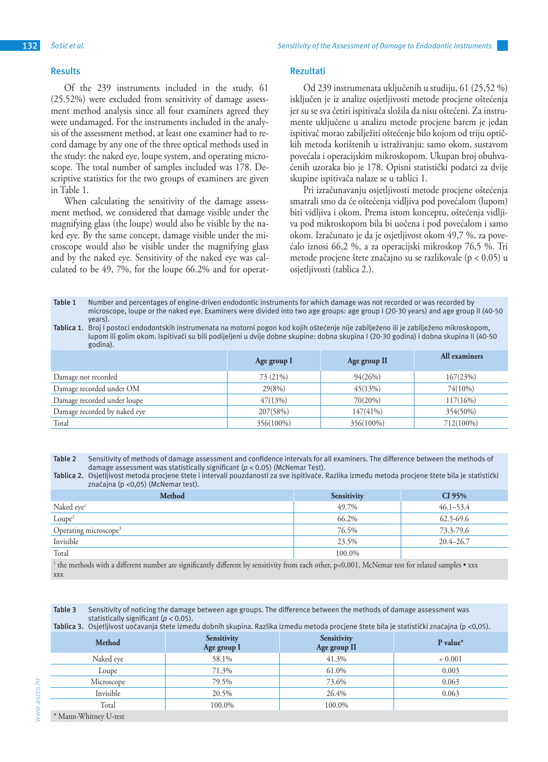Of the 239 instruments included in the study, 61 (25.52%) were excluded from sensitivity of damage assessment method analysis since all four examiners agreed they were undamaged. For the instruments included in the analysis of the assessment method, at least one examiner had to record damage by any one of the three optical methods used in the study: the naked eye, loupe system, and operating microscope. The total number of samples included was 178. Descriptive statistics for the two groups of examiners are given in Table 1.

When calculating the sensitivity of the damage assessment method, we considered that damage visible under the magnifying glass (the loupe) would also be visible by the naked eye. By the same concept, damage visible under the microscope would also be visible under the magnifying glass and by the naked eye. Sensitivity of the naked eye was calculated to be 49, 7%, for the loupe 66.2% and for operat-

#### **Rezultati**

Od 239 instrumenata uključenih u studiju, 61 (25,52 %) isključen je iz analize osjetljivosti metode procjene oštećenja jer su se sva četiri ispitivača složila da nisu oštećeni. Za instrumente uključene u analizu metode procjene barem je jedan ispitivač morao zabilježiti oštećenje bilo kojom od triju optičkih metoda korištenih u istraživanju: samo okom, sustavom povećala i operacijskim mikroskopom. Ukupan broj obuhvaćenih uzoraka bio je 178. Opisni statistički podatci za dvije skupine ispitivača nalaze se u tablici 1.

Pri izračunavanju osjetljivosti metode procjene oštećenja smatrali smo da će oštećenja vidljiva pod povećalom (lupom) biti vidljiva i okom. Prema istom konceptu, oštećenja vidljiva pod mikroskopom bila bi uočena i pod povećalom i samo okom. Izračunato je da je osjetljivost okom 49,7 %, za povećalo iznosi 66,2 %, a za operacijski mikroskop 76,5 %. Tri metode procjene štete značajno su se razlikovale (p < 0,05) u osjetljivosti (tablica 2.).

**Table 1** Number and percentages of engine-driven endodontic instruments for which damage was not recorded or was recorded by microscope, loupe or the naked eye. Examiners were divided into two age groups: age group I (20-30 years) and age group II (40-50 years).

**Tablica 1.** Broj i postoci endodontskih instrumenata na motorni pogon kod kojih oštećenje nije zabilježeno ili je zabilježeno mikroskopom, lupom ili golim okom. Ispitivači su bili podijeljeni u dvije dobne skupine: dobna skupina I (20-30 godina) i dobna skupina II (40-50 godina).

|                              | Age group I | Age group II | All examiners |
|------------------------------|-------------|--------------|---------------|
| Damage not recorded          | 73 (21%)    | 94(26%)      | 167(23%)      |
| Damage recorded under OM     | 29(8%)      | 45(13%)      | 74(10%)       |
| Damage recorded under loupe  | 47(13%)     | $70(20\%)$   | $117(16\%)$   |
| Damage recorded by naked eye | 207(58%)    | $147(41\%)$  | 354(50%)      |
| Total                        | 356(100%)   | 356(100%)    | 712(100%)     |

**Table 2** Sensitivity of methods of damage assessment and confidence intervals for all examiners. The difference between the methods of damage assessment was statistically significant (*p* < 0.05) (McNemar Test).

**Tablica 2.** Osjetljivost metoda procjene štete i intervali pouzdanosti za sve ispitivače. Razlika između metoda procjene štete bila je statistički značajna (p <0,05) (McNemar test).

| <b>Method</b>                                                                                                                                                                                                                                                       | <b>Sensitivity</b> | CI 95%        |
|---------------------------------------------------------------------------------------------------------------------------------------------------------------------------------------------------------------------------------------------------------------------|--------------------|---------------|
| Naked eye <sup>1</sup>                                                                                                                                                                                                                                              | 49.7%              | $46.1 - 53.4$ |
| Loupe <sup>2</sup>                                                                                                                                                                                                                                                  | 66.2%              | 62.5-69.6     |
| Operating microscope <sup>3</sup>                                                                                                                                                                                                                                   | 76.5%              | 73.3-79.6     |
| Invisible                                                                                                                                                                                                                                                           | 23.5%              | $20.4 - 26.7$ |
| Total                                                                                                                                                                                                                                                               | 100.0%             |               |
| $1 \t1 \t1 \t1 \t1 \t1 \t0$<br>$\blacksquare$ is a set of the set of the set of the set of the set of the set of the set of the set of the set of the set of the set of the set of the set of the set of the set of the set of the set of the set of the set of the | COOL LEAT          | $\sim$ 1 1    |

 $^{\rm 1}$  the methods with a different number are significantly different by sensitivity from each other, p<0,001, McNemar test for related samples • xxx xxx

**Table 3** Sensitivity of noticing the damage between age groups. The difference between the methods of damage assessment was statistically significant (*p* < 0.05).

|  |  |  | Tablica 3. Osjetljivost uočavanja štete između dobnih skupina. Razlika između metoda procjene štete bila je statistički značajna (p <0,05). |  |
|--|--|--|---------------------------------------------------------------------------------------------------------------------------------------------|--|
|--|--|--|---------------------------------------------------------------------------------------------------------------------------------------------|--|

| Method                                                            | <b>Sensitivity</b><br>Age group I | Sensitivity<br>Age group II | $P$ value*  |
|-------------------------------------------------------------------|-----------------------------------|-----------------------------|-------------|
| Naked eve                                                         | 58.1%                             | 41.3%                       | ${}< 0.001$ |
| Loupe                                                             | 71.3%                             | 61.0%                       | 0.003       |
| Microscope                                                        | 79.5%                             | 73.6%                       | 0.063       |
| Invisible                                                         | 20.5%                             | 26.4%                       | 0.063       |
| Total                                                             | 100.0%                            | 100.0%                      |             |
| $\mathbf{u}$ <b>1</b> $\mathbf{r}$ <b>11771</b> $\mathbf{r}$<br>T |                                   |                             |             |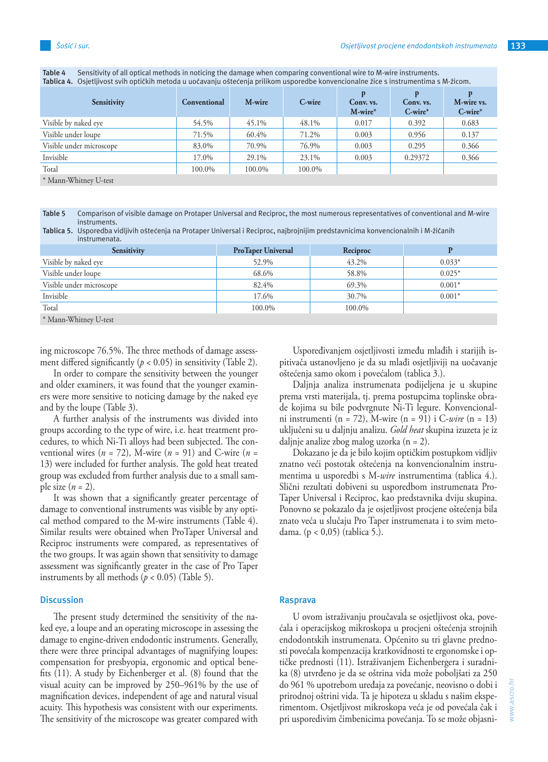| <b>Sensitivity</b>                                                                                                                                                                                                                                                                                                                              | Conventional | M-wire | C-wire | Conv. vs.<br>$M$ -wire* | Conv. vs.<br>$C$ -wire* | M-wire vs.<br>$C$ -wire* |
|-------------------------------------------------------------------------------------------------------------------------------------------------------------------------------------------------------------------------------------------------------------------------------------------------------------------------------------------------|--------------|--------|--------|-------------------------|-------------------------|--------------------------|
| Visible by naked eye                                                                                                                                                                                                                                                                                                                            | 54.5%        | 45.1%  | 48.1%  | 0.017                   | 0.392                   | 0.683                    |
| Visible under loupe                                                                                                                                                                                                                                                                                                                             | 71.5%        | 60.4%  | 71.2%  | 0.003                   | 0.956                   | 0.137                    |
| Visible under microscope                                                                                                                                                                                                                                                                                                                        | 83.0%        | 70.9%  | 76.9%  | 0.003                   | 0.295                   | 0.366                    |
| Invisible                                                                                                                                                                                                                                                                                                                                       | 17.0%        | 29.1%  | 23.1%  | 0.003                   | 0.29372                 | 0.366                    |
| Total                                                                                                                                                                                                                                                                                                                                           | 100.0%       | 100.0% | 100.0% |                         |                         |                          |
| $\mathcal{L}$ 1 $\mathbf{I}$ $\mathbf{I}$ $\mathbf{I}$ $\mathbf{I}$ $\mathbf{I}$ $\mathbf{I}$ $\mathbf{I}$ $\mathbf{I}$ $\mathbf{I}$ $\mathbf{I}$ $\mathbf{I}$ $\mathbf{I}$ $\mathbf{I}$ $\mathbf{I}$ $\mathbf{I}$ $\mathbf{I}$ $\mathbf{I}$ $\mathbf{I}$ $\mathbf{I}$ $\mathbf{I}$ $\mathbf{I}$ $\mathbf{I}$ $\mathbf{I}$ $\math$<br><b>TT</b> |              |        |        |                         |                         |                          |

**Table 4** Sensitivity of all optical methods in noticing the damage when comparing conventional wire to M-wire instruments. **Tablica 4.** Osjetljivost svih optičkih metoda u uočavanju oštećenja prilikom usporedbe konvencionalne žice s instrumentima s M-žicom.

\* Mann-Whitney U-test

**Table 5** Comparison of visible damage on Protaper Universal and Reciproc, the most numerous representatives of conventional and M-wire instruments.

| Tablica 5. Usporedba vidljivih oštećenja na Protaper Universal i Reciproc, najbrojnijim predstavnicima konvencionalnih i M-žičanih |  |  |
|------------------------------------------------------------------------------------------------------------------------------------|--|--|
| instrumenata.                                                                                                                      |  |  |
|                                                                                                                                    |  |  |

| <b>Sensitivity</b>         | <b>ProTaper Universal</b> | Reciproc |          |
|----------------------------|---------------------------|----------|----------|
| Visible by naked eye       | 52.9%                     | 43.2%    | $0.033*$ |
| Visible under loupe        | 68.6%                     | 58.8%    | $0.025*$ |
| Visible under microscope   | 82.4%                     | 69.3%    | $0.001*$ |
| Invisible                  | 17.6%                     | 30.7%    | $0.001*$ |
| Total                      | 100.0%                    | 100.0%   |          |
| $\sqrt{1}$ $\sqrt{1}$<br>T |                           |          |          |

\* Mann-Whitney U-test

ing microscope 76.5%. The three methods of damage assessment differed significantly  $(p < 0.05)$  in sensitivity (Table 2).

In order to compare the sensitivity between the younger and older examiners, it was found that the younger examiners were more sensitive to noticing damage by the naked eye and by the loupe (Table 3).

A further analysis of the instruments was divided into groups according to the type of wire, i.e. heat treatment procedures, to which Ni-Ti alloys had been subjected. The conventional wires ( $n = 72$ ), M-wire ( $n = 91$ ) and C-wire ( $n =$ 13) were included for further analysis. The gold heat treated group was excluded from further analysis due to a small sample size  $(n = 2)$ .

It was shown that a significantly greater percentage of damage to conventional instruments was visible by any optical method compared to the M-wire instruments (Table 4). Similar results were obtained when ProTaper Universal and Reciproc instruments were compared, as representatives of the two groups. It was again shown that sensitivity to damage assessment was significantly greater in the case of Pro Taper instruments by all methods ( $p < 0.05$ ) (Table 5).

#### **Discussion**

The present study determined the sensitivity of the naked eye, a loupe and an operating microscope in assessing the damage to engine-driven endodontic instruments. Generally, there were three principal advantages of magnifying loupes: compensation for presbyopia, ergonomic and optical benefits (11). A study by Eichenberger et al. (8) found that the visual acuity can be improved by 250–961% by the use of magnification devices, independent of age and natural visual acuity. This hypothesis was consistent with our experiments. The sensitivity of the microscope was greater compared with

Uspoređivanjem osjetljivosti između mlađih i starijih ispitivača ustanovljeno je da su mlađi osjetljiviji na uočavanje oštećenja samo okom i povećalom (tablica 3.).

Daljnja analiza instrumenata podijeljena je u skupine prema vrsti materijala, tj. prema postupcima toplinske obrade kojima su bile podvrgnute Ni-Ti legure. Konvencionalni instrumenti (n = 72), M-wire (n = 91) i C-*wire* (n = 13) uključeni su u daljnju analizu. *Gold heat* skupina izuzeta je iz daljnje analize zbog malog uzorka (n = 2).

Dokazano je da je bilo kojim optičkim postupkom vidljiv znatno veći postotak oštećenja na konvencionalnim instrumentima u usporedbi s M-*wire* instrumentima (tablica 4.). Slični rezultati dobiveni su usporedbom instrumenata Pro-Taper Universal i Reciproc, kao predstavnika dviju skupina. Ponovno se pokazalo da je osjetljivost procjene oštećenja bila znato veća u slučaju Pro Taper instrumenata i to svim metodama. (p < 0,05) (tablica 5.).

## **Rasprava**

U ovom istraživanju proučavala se osjetljivost oka, povećala i operacijskog mikroskopa u procjeni oštećenja strojnih endodontskih instrumenata. Općenito su tri glavne prednosti povećala kompenzacija kratkovidnosti te ergonomske i optičke prednosti (11). Istraživanjem Eichenbergera i suradnika (8) utvrđeno je da se oštrina vida može poboljšati za 250 do 961 % upotrebom uređaja za povećanje, neovisno o dobi i prirodnoj oštrini vida. Ta je hipoteza u skladu s našim eksperimentom. Osjetljivost mikroskopa veća je od povećala čak i pri usporedivim čimbenicima povećanja. To se može objasni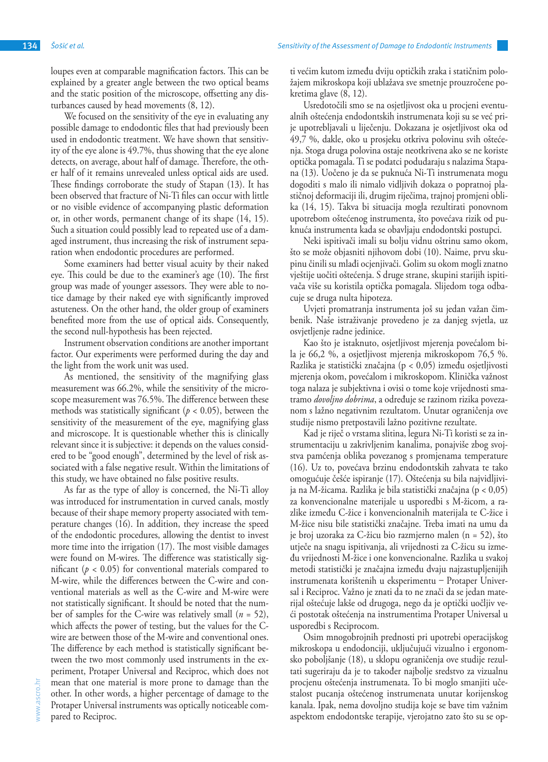loupes even at comparable magnification factors. This can be explained by a greater angle between the two optical beams and the static position of the microscope, offsetting any disturbances caused by head movements (8, 12).

We focused on the sensitivity of the eye in evaluating any possible damage to endodontic files that had previously been used in endodontic treatment. We have shown that sensitivity of the eye alone is 49.7%, thus showing that the eye alone detects, on average, about half of damage. Therefore, the other half of it remains unrevealed unless optical aids are used. These findings corroborate the study of Stapan (13). It has been observed that fracture of Ni-Ti files can occur with little or no visible evidence of accompanying plastic deformation or, in other words, permanent change of its shape (14, 15). Such a situation could possibly lead to repeated use of a damaged instrument, thus increasing the risk of instrument separation when endodontic procedures are performed.

Some examiners had better visual acuity by their naked eye. This could be due to the examiner's age (10). The first group was made of younger assessors. They were able to notice damage by their naked eye with significantly improved astuteness. On the other hand, the older group of examiners benefited more from the use of optical aids. Consequently, the second null-hypothesis has been rejected.

Instrument observation conditions are another important factor. Our experiments were performed during the day and the light from the work unit was used.

As mentioned, the sensitivity of the magnifying glass measurement was 66.2%, while the sensitivity of the microscope measurement was 76.5%. The difference between these methods was statistically significant ( $p < 0.05$ ), between the sensitivity of the measurement of the eye, magnifying glass and microscope. It is questionable whether this is clinically relevant since it is subjective: it depends on the values considered to be "good enough", determined by the level of risk associated with a false negative result. Within the limitations of this study, we have obtained no false positive results.

As far as the type of alloy is concerned, the Ni-Ti alloy was introduced for instrumentation in curved canals, mostly because of their shape memory property associated with temperature changes (16). In addition, they increase the speed of the endodontic procedures, allowing the dentist to invest more time into the irrigation (17). The most visible damages were found on M-wires. The difference was statistically significant ( $p < 0.05$ ) for conventional materials compared to M-wire, while the differences between the C-wire and conventional materials as well as the C-wire and M-wire were not statistically significant. It should be noted that the number of samples for the C-wire was relatively small (*n* = 52), which affects the power of testing, but the values for the Cwire are between those of the M-wire and conventional ones. The difference by each method is statistically significant between the two most commonly used instruments in the experiment, Protaper Universal and Reciproc, which does not mean that one material is more prone to damage than the other. In other words, a higher percentage of damage to the Protaper Universal instruments was optically noticeable compared to Reciproc.

ti većim kutom između dviju optičkih zraka i statičnim položajem mikroskopa koji ublažava sve smetnje prouzročene pokretima glave (8, 12).

Usredotočili smo se na osjetljivost oka u procjeni eventualnih oštećenja endodontskih instrumenata koji su se već prije upotrebljavali u liječenju. Dokazana je osjetljivost oka od 49,7 %, dakle, oko u prosjeku otkriva polovinu svih oštećenja. Stoga druga polovina ostaje neotkrivena ako se ne koriste optička pomagala. Ti se podatci podudaraju s nalazima Stapana (13). Uočeno je da se puknuća Ni-Ti instrumenata mogu dogoditi s malo ili nimalo vidljivih dokaza o popratnoj plastičnoj deformaciji ili, drugim riječima, trajnoj promjeni oblika (14, 15). Takva bi situacija mogla rezultirati ponovnom upotrebom oštećenog instrumenta, što povećava rizik od puknuća instrumenta kada se obavljaju endodontski postupci.

Neki ispitivači imali su bolju vidnu oštrinu samo okom, što se može objasniti njihovom dobi (10). Naime, prvu skupinu činili su mlađi ocjenjivači. Golim su okom mogli znatno vještije uočiti oštećenja. S druge strane, skupini starijih ispitivača više su koristila optička pomagala. Slijedom toga odbacuje se druga nulta hipoteza.

Uvjeti promatranja instrumenta još su jedan važan čimbenik. Naše istraživanje provedeno je za danjeg svjetla, uz osvjetljenje radne jedinice.

Kao što je istaknuto, osjetljivost mjerenja povećalom bila je 66,2 %, a osjetljivost mjerenja mikroskopom 76,5 %. Razlika je statistički značajna (p < 0,05) između osjetljivosti mjerenja okom, povećalom i mikroskopom. Klinička važnost toga nalaza je subjektivna i ovisi o tome koje vrijednosti smatramo *dovoljno dobrima*, a određuje se razinom rizika povezanom s lažno negativnim rezultatom. Unutar ograničenja ove studije nismo pretpostavili lažno pozitivne rezultate.

Kad je riječ o vrstama slitina, legura Ni-Ti koristi se za instrumentaciju u zakrivljenim kanalima, ponajviše zbog svojstva pamćenja oblika povezanog s promjenama temperature (16). Uz to, povećava brzinu endodontskih zahvata te tako omogućuje češće ispiranje (17). Oštećenja su bila najvidljivija na M-žicama. Razlika je bila statistički značajna (p < 0,05) za konvencionalne materijale u usporedbi s M-žicom, a razlike između C-žice i konvencionalnih materijala te C-žice i M-žice nisu bile statistički značajne. Treba imati na umu da je broj uzoraka za C-žicu bio razmjerno malen (n = 52), što utječe na snagu ispitivanja, ali vrijednosti za C-žicu su između vrijednosti M-žice i one konvencionalne. Razlika u svakoj metodi statistički je značajna između dvaju najzastupljenijih instrumenata korištenih u eksperimentu – Protaper Universal i Reciproc. Važno je znati da to ne znači da se jedan materijal oštećuje lakše od drugoga, nego da je optički uočljiv veći postotak oštećenja na instrumentima Protaper Universal u usporedbi s Reciprocom.

Osim mnogobrojnih prednosti pri upotrebi operacijskog mikroskopa u endodonciji, uključujući vizualno i ergonomsko poboljšanje (18), u sklopu ograničenja ove studije rezultati sugeriraju da je to također najbolje sredstvo za vizualnu procjenu oštećenja instrumenata. To bi moglo smanjiti učestalost pucanja oštećenog instrumenata unutar korijenskog kanala. Ipak, nema dovoljno studija koje se bave tim važnim aspektom endodontske terapije, vjerojatno zato što su se op-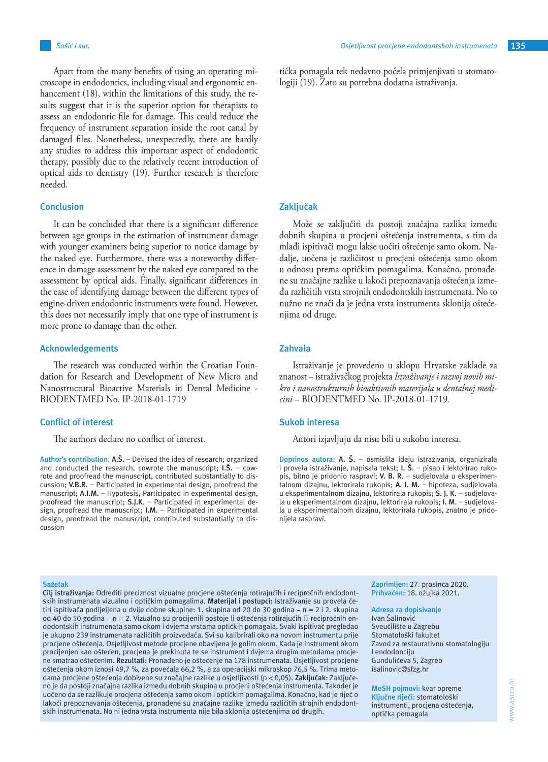Apart from the many benefits of using an operating microscope in endodontics, including visual and ergonomic enhancement (18), within the limitations of this study, the results suggest that it is the superior option for therapists to assess an endodontic file for damage. This could reduce the frequency of instrument separation inside the root canal by damaged files. Nonetheless, unexpectedly, there are hardly any studies to address this important aspect of endodontic therapy, possibly due to the relatively recent introduction of optical aids to dentistry (19). Further research is therefore needed.

#### **Conclusion**

It can be concluded that there is a significant difference between age groups in the estimation of instrument damage with younger examiners being superior to notice damage by the naked eye. Furthermore, there was a noteworthy difference in damage assessment by the naked eye compared to the assessment by optical aids. Finally, significant differences in the ease of identifying damage between the different types of engine-driven endodontic instruments were found. However, this does not necessarily imply that one type of instrument is more prone to damage than the other.

## **Acknowledgements**

The research was conducted within the Croatian Foundation for Research and Development of New Micro and Nanostructural Bioactive Materials in Dental Medicine - BIODENTMED No. IP-2018-01-1719

#### **Conflict of interest**

The authors declare no conflict of interest.

**Author's contribution: A.Š.** – Devised the idea of research; organized and conducted the research, cowrote the manuscript; **I.Š.** – cowrote and proofread the manuscript, contributed substantially to discussion; **V.B.R.** – Participated in experimental design, proofread the manuscript**; A.I.M.** – Hypotesis, Participated in experimental design, proofread the manuscript; **S.J.K**. – Participated in experimental design, proofread the manuscript; **I.M.** – Participated in experimental design, proofread the manuscript, contributed substantially to discussion

tička pomagala tek nedavno počela primjenjivati u stomatologiji (19). Zato su potrebna dodatna istraživanja.

#### **Zaključak**

Može se zaključiti da postoji značajna razlika između dobnih skupina u procjeni oštećenja instrumenta, s tim da mlađi ispitivači mogu lakše uočiti oštećenje samo okom. Nadalje, uočena je različitost u procjeni oštećenja samo okom u odnosu prema optičkim pomagalima. Konačno, pronađene su značajne razlike u lakoći prepoznavanja oštećenja između različitih vrsta strojnih endodontskih instrumenata. No to nužno ne znači da je jedna vrsta instrumenta sklonija oštećeniima od druge.

## **Zahvala**

Istraživanje je provedeno u sklopu Hrvatske zaklade za znanost – istraživačkog projekta *Istraživanje i razvoj novih mikro i nanostrukturnih bioaktivnih materijala u dentalnoj medicini* – BIODENTMED No. IP-2018-01-1719.

#### **Sukob interesa**

Autori izjavljuju da nisu bili u sukobu interesa.

**Doprinos autora: A. Š.** – osmislila ideju istraživanja, organizirala i provela istraživanje, napisala tekst; **I. Š**. – pisao i lektorirao rukopis, bitno je pridonio raspravi; **V. B. R**. – sudjelovala u eksperimentalnom dizajnu, lektorirala rukopis; **A. I. M.** – hipoteza, sudjelovala u eksperimentalnom dizajnu, lektorirala rukopis; **S. J. K**. – sudjelovala u eksperimentalnom dizajnu, lektorirala rukopis; **I. M**. – sudjelovala u eksperimentalnom dizajnu, lektorirala rukopis, znatno je pridonijela raspravi.

#### **Sažetak**

**Cilj istraživanja:** Odrediti preciznost vizualne procjene oštećenja rotirajućih i recipročnih endodontskih instrumenata vizualno i optičkim pomagalima. **Materijal i postupci:** Istraživanje su provela četiri ispitivača podijeljena u dvije dobne skupine: 1. skupina od 20 do 30 godina – n = 2 i 2. skupina od 40 do 50 godina - n = 2. Vizualno su procijenili postoje li oštećenja rotirajućih ili recipročnih endodontskih instrumenata samo okom i dvjema vrstama optičkih pomagala. Svaki ispitivač pregledao je ukupno 239 instrumenata različitih proizvođača. Svi su kalibrirali oko na novom instrumentu prije procjene oštećenja. Osjetljivost metode procjene obavljena je golim okom. Kada je instrument okom procijenjen kao oštećen, procjena je prekinuta te se instrument i dvjema drugim metodama procjene smatrao oštećenim. **Rezultati**: Pronađeno je oštećenje na 178 instrumenata. Osjetljivost procjene oštećenja okom iznosi 49,7 %, za povećala 66,2 %, a za operacijski mikroskop 76,5 %. Trima metodama procjene oštećenja dobivene su značajne razlike u osjetljivosti (p < 0,05). **Zaključak**: Zaključeno je da postoji značajna razlika između dobnih skupina u procjeni oštećenja instrumenta. Također je uočeno da se razlikuje procjena oštećenja samo okom i optičkim pomagalima. Konačno, kad je riječ o lakoći prepoznavanja oštećenja, pronađene su značajne razlike između različitih strojnih endodontskih instrumenata. No ni jedna vrsta instrumenta nije bila sklonija oštećenjima od drugih.

**Zaprimljen:** 27. prosinca 2020. **Prihvaćen:** 18. ožujka 2021.

#### **Adresa za dopisivanje**

Ivan Šalinović Sveučilište u Zagrebu Stomatološki fakultet Zavod za restaurativnu stomatologiju i endodonciju Gundulićeva 5, Zagreb isalinovic@sfzg.hr

**MeSH pojmovi:** kvar opreme **Ključne riječi:** stomatološki instrumenti, procjena oštećenja, optička pomagala